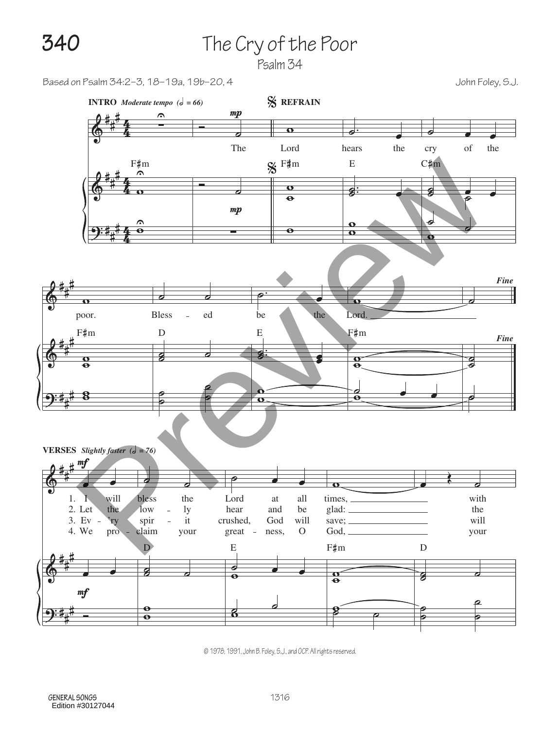## **340** The Cry of the Poor

Psalm 34

Based on Psalm 34:2–3, 18–19a, 19b–20, 4 John Foley, S.J.



© 1978, 1991, John B. Foley, S.J., and OCP. All rights reserved.